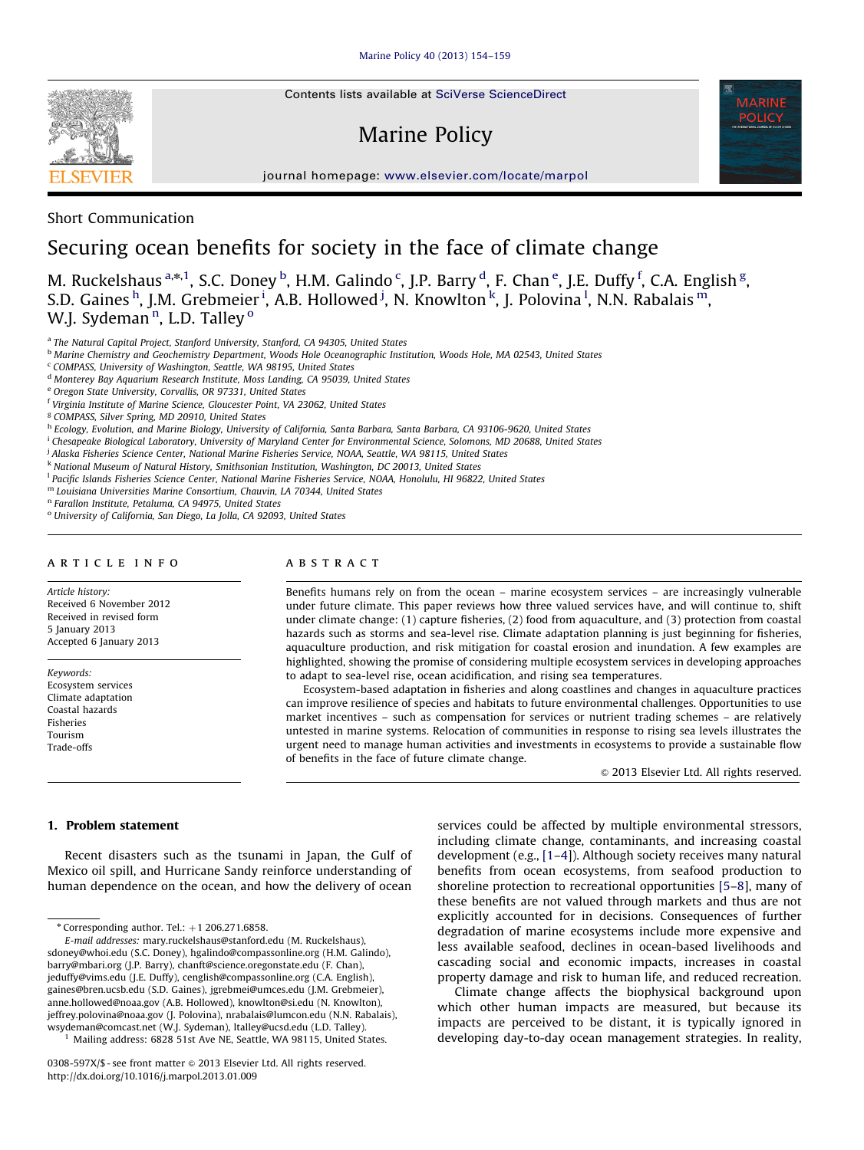Contents lists available at [SciVerse ScienceDirect](www.elsevier.com/locate/marpol)

# Marine Policy



journal homepage: <www.elsevier.com/locate/marpol>



## Short Communication

# Securing ocean benefits for society in the face of climate change

M. Ruckelshaus <sup>a,\*,1</sup>, S.C. Doney <sup>b</sup>, H.M. Galindo <sup>c</sup>, J.P. Barry <sup>d</sup>, F. Chan <sup>e</sup>, J.E. Duffy <sup>f</sup>, C.A. English <sup>g</sup>, S.D. Gaines <sup>h</sup>, J.M. Grebmeier <sup>i</sup>, A.B. Hollowed <sup>j</sup>, N. Knowlton <sup>k</sup>, J. Polovina <sup>l</sup>, N.N. Rabalais <sup>m</sup>, W.J. Sydeman<sup>n</sup>, L.D. Talley <sup>o</sup>

a The Natural Capital Project, Stanford University, Stanford, CA 94305, United States

- <sup>b</sup> Marine Chemistry and Geochemistry Department, Woods Hole Oceanographic Institution, Woods Hole, MA 02543, United States
- <sup>c</sup> COMPASS, University of Washington, Seattle, WA 98195, United States
- <sup>d</sup> Monterey Bay Aquarium Research Institute, Moss Landing, CA 95039, United States
- <sup>e</sup> Oregon State University, Corvallis, OR 97331, United States
- <sup>f</sup> Virginia Institute of Marine Science, Gloucester Point, VA 23062, United States
- <sup>g</sup> COMPASS, Silver Spring, MD 20910, United States
- h Ecology, Evolution, and Marine Biology, University of California, Santa Barbara, Santa Barbara, CA 93106-9620, United States
- i Chesapeake Biological Laboratory, University of Maryland Center for Environmental Science, Solomons, MD 20688, United States
- <sup>j</sup> Alaska Fisheries Science Center, National Marine Fisheries Service, NOAA, Seattle, WA 98115, United States
- <sup>k</sup> National Museum of Natural History, Smithsonian Institution, Washington, DC 20013, United States
- <sup>l</sup> Pacific Islands Fisheries Science Center, National Marine Fisheries Service, NOAA, Honolulu, HI 96822, United States
- <sup>m</sup> Louisiana Universities Marine Consortium, Chauvin, LA 70344, United States

<sup>n</sup> Farallon Institute, Petaluma, CA 94975, United States

<sup>o</sup> University of California, San Diego, La Jolla, CA 92093, United States

#### article info

Article history: Received 6 November 2012 Received in revised form 5 January 2013 Accepted 6 January 2013

Keywords: Ecosystem services Climate adaptation Coastal hazards Fisheries Tourism Trade-offs

### ABSTRACT

Benefits humans rely on from the ocean – marine ecosystem services – are increasingly vulnerable under future climate. This paper reviews how three valued services have, and will continue to, shift under climate change: (1) capture fisheries, (2) food from aquaculture, and (3) protection from coastal hazards such as storms and sea-level rise. Climate adaptation planning is just beginning for fisheries, aquaculture production, and risk mitigation for coastal erosion and inundation. A few examples are highlighted, showing the promise of considering multiple ecosystem services in developing approaches to adapt to sea-level rise, ocean acidification, and rising sea temperatures.

Ecosystem-based adaptation in fisheries and along coastlines and changes in aquaculture practices can improve resilience of species and habitats to future environmental challenges. Opportunities to use market incentives – such as compensation for services or nutrient trading schemes – are relatively untested in marine systems. Relocation of communities in response to rising sea levels illustrates the urgent need to manage human activities and investments in ecosystems to provide a sustainable flow of benefits in the face of future climate change.

 $©$  2013 Elsevier Ltd. All rights reserved.

#### 1. Problem statement

Recent disasters such as the tsunami in Japan, the Gulf of Mexico oil spill, and Hurricane Sandy reinforce understanding of human dependence on the ocean, and how the delivery of ocean services could be affected by multiple environmental stressors, including climate change, contaminants, and increasing coastal development (e.g., [\[1–4\]](#page-3-0)). Although society receives many natural benefits from ocean ecosystems, from seafood production to shoreline protection to recreational opportunities [\[5–8](#page-3-0)], many of these benefits are not valued through markets and thus are not explicitly accounted for in decisions. Consequences of further degradation of marine ecosystems include more expensive and less available seafood, declines in ocean-based livelihoods and cascading social and economic impacts, increases in coastal property damage and risk to human life, and reduced recreation.

Climate change affects the biophysical background upon which other human impacts are measured, but because its impacts are perceived to be distant, it is typically ignored in developing day-to-day ocean management strategies. In reality,

 $*$  Corresponding author. Tel.:  $+1$  206.271.6858.

E-mail addresses: [mary.ruckelshaus@stanford.edu \(M. Ruckelshaus\),](mailto:mary.ruckelshaus@stanford.edu) [sdoney@whoi.edu \(S.C. Doney\),](mailto:sdoney@whoi.edu) [hgalindo@compassonline.org \(H.M. Galindo\),](mailto:hgalindo@compassonline.org) [barry@mbari.org \(J.P. Barry\),](mailto:barry@mbari.org) [chanft@science.oregonstate.edu \(F. Chan\),](mailto:chanft@science.oregonstate.edu) [jeduffy@vims.edu \(J.E. Duffy\)](mailto:jeduffy@vims.edu), [cenglish@compassonline.org \(C.A. English\),](mailto:cenglish@compassonline.org) [gaines@bren.ucsb.edu \(S.D. Gaines\)](mailto:gaines@bren.ucsb.edu), [jgrebmei@umces.edu \(J.M. Grebmeier\)](mailto:jgrebmei@umces.edu), [anne.hollowed@noaa.gov \(A.B. Hollowed\)](mailto:anne.hollowed@noaa.gov), [knowlton@si.edu \(N. Knowlton\)](mailto:knowlton@si.edu), [jeffrey.polovina@noaa.gov \(J. Polovina\),](mailto:jeffrey.polovina@noaa.gov) [nrabalais@lumcon.edu \(N.N. Rabalais\)](mailto:nrabalais@lumcon.edu), [wsydeman@comcast.net \(W.J. Sydeman\)](mailto:wsydeman@comcast.net), [ltalley@ucsd.edu \(L.D. Talley\)](mailto:ltalley@ucsd.edu).

Mailing address: 6828 51st Ave NE, Seattle, WA 98115, United States.

<sup>0308-597</sup>X/\$ - see front matter @ 2013 Elsevier Ltd. All rights reserved. <http://dx.doi.org/10.1016/j.marpol.2013.01.009>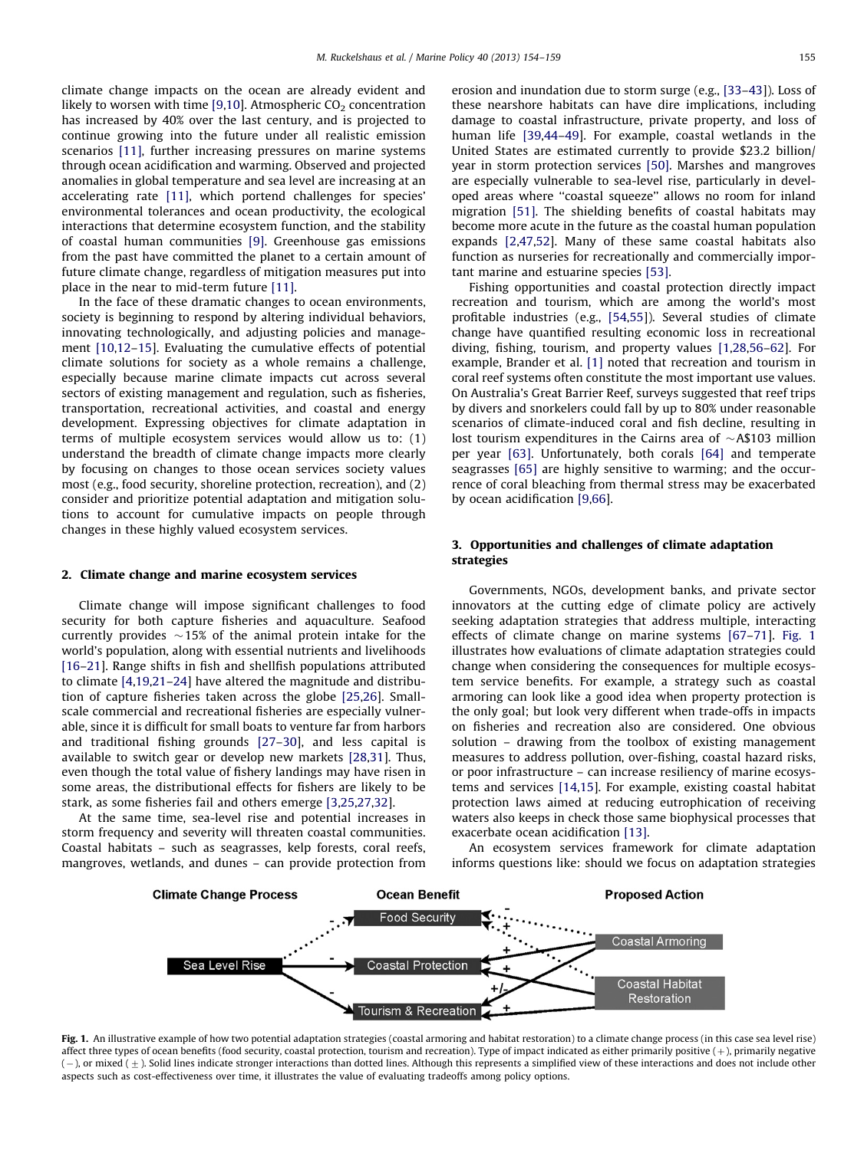climate change impacts on the ocean are already evident and likely to worsen with time [\[9](#page-3-0),[10](#page-3-0)]. Atmospheric  $CO<sub>2</sub>$  concentration has increased by 40% over the last century, and is projected to continue growing into the future under all realistic emission scenarios [\[11\],](#page-3-0) further increasing pressures on marine systems through ocean acidification and warming. Observed and projected anomalies in global temperature and sea level are increasing at an accelerating rate [\[11\]](#page-3-0), which portend challenges for species' environmental tolerances and ocean productivity, the ecological interactions that determine ecosystem function, and the stability of coastal human communities [\[9\]](#page-3-0). Greenhouse gas emissions from the past have committed the planet to a certain amount of future climate change, regardless of mitigation measures put into place in the near to mid-term future [\[11\].](#page-3-0)

In the face of these dramatic changes to ocean environments, society is beginning to respond by altering individual behaviors, innovating technologically, and adjusting policies and management [\[10,12–15\]](#page-3-0). Evaluating the cumulative effects of potential climate solutions for society as a whole remains a challenge, especially because marine climate impacts cut across several sectors of existing management and regulation, such as fisheries, transportation, recreational activities, and coastal and energy development. Expressing objectives for climate adaptation in terms of multiple ecosystem services would allow us to: (1) understand the breadth of climate change impacts more clearly by focusing on changes to those ocean services society values most (e.g., food security, shoreline protection, recreation), and (2) consider and prioritize potential adaptation and mitigation solutions to account for cumulative impacts on people through changes in these highly valued ecosystem services.

#### 2. Climate change and marine ecosystem services

Climate change will impose significant challenges to food security for both capture fisheries and aquaculture. Seafood currently provides  ${\sim}{15}\%$  of the animal protein intake for the world's population, along with essential nutrients and livelihoods [\[16](#page-3-0)[–21\]](#page-4-0). Range shifts in fish and shellfish populations attributed to climate [\[4](#page-3-0)[,19,21–24](#page-4-0)] have altered the magnitude and distribution of capture fisheries taken across the globe [\[25,26\]](#page-4-0). Smallscale commercial and recreational fisheries are especially vulnerable, since it is difficult for small boats to venture far from harbors and traditional fishing grounds [\[27–30\]](#page-4-0), and less capital is available to switch gear or develop new markets [\[28,31\]](#page-4-0). Thus, even though the total value of fishery landings may have risen in some areas, the distributional effects for fishers are likely to be stark, as some fisheries fail and others emerge [\[3,](#page-3-0)[25,27](#page-4-0),[32\]](#page-4-0).

At the same time, sea-level rise and potential increases in storm frequency and severity will threaten coastal communities. Coastal habitats – such as seagrasses, kelp forests, coral reefs, mangroves, wetlands, and dunes – can provide protection from erosion and inundation due to storm surge (e.g., [\[33–43](#page-4-0)]). Loss of these nearshore habitats can have dire implications, including damage to coastal infrastructure, private property, and loss of human life [\[39,44–49](#page-4-0)]. For example, coastal wetlands in the United States are estimated currently to provide \$23.2 billion/ year in storm protection services [\[50\]](#page-4-0). Marshes and mangroves are especially vulnerable to sea-level rise, particularly in developed areas where ''coastal squeeze'' allows no room for inland migration [\[51\]](#page-4-0). The shielding benefits of coastal habitats may become more acute in the future as the coastal human population expands [\[2](#page-3-0)[,47,52](#page-4-0)]. Many of these same coastal habitats also function as nurseries for recreationally and commercially important marine and estuarine species [\[53\]](#page-4-0).

Fishing opportunities and coastal protection directly impact recreation and tourism, which are among the world's most profitable industries (e.g., [\[54,55\]](#page-4-0)). Several studies of climate change have quantified resulting economic loss in recreational diving, fishing, tourism, and property values [\[1](#page-3-0)[,28,56–62\]](#page-4-0). For example, Brander et al. [\[1\]](#page-3-0) noted that recreation and tourism in coral reef systems often constitute the most important use values. On Australia's Great Barrier Reef, surveys suggested that reef trips by divers and snorkelers could fall by up to 80% under reasonable scenarios of climate-induced coral and fish decline, resulting in lost tourism expenditures in the Cairns area of  $\sim$  A\$103 million per year [\[63\]](#page-4-0). Unfortunately, both corals [\[64\]](#page-4-0) and temperate seagrasses [\[65\]](#page-4-0) are highly sensitive to warming; and the occurrence of coral bleaching from thermal stress may be exacerbated by ocean acidification [\[9](#page-3-0)[,66\]](#page-4-0).

### 3. Opportunities and challenges of climate adaptation strategies

Governments, NGOs, development banks, and private sector innovators at the cutting edge of climate policy are actively seeking adaptation strategies that address multiple, interacting effects of climate change on marine systems [\[67–71](#page-4-0)]. Fig. 1 illustrates how evaluations of climate adaptation strategies could change when considering the consequences for multiple ecosystem service benefits. For example, a strategy such as coastal armoring can look like a good idea when property protection is the only goal; but look very different when trade-offs in impacts on fisheries and recreation also are considered. One obvious solution – drawing from the toolbox of existing management measures to address pollution, over-fishing, coastal hazard risks, or poor infrastructure – can increase resiliency of marine ecosystems and services [\[14,15\]](#page-3-0). For example, existing coastal habitat protection laws aimed at reducing eutrophication of receiving waters also keeps in check those same biophysical processes that exacerbate ocean acidification [\[13\]](#page-3-0).

An ecosystem services framework for climate adaptation informs questions like: should we focus on adaptation strategies



Fig. 1. An illustrative example of how two potential adaptation strategies (coastal armoring and habitat restoration) to a climate change process (in this case sea level rise) affect three types of ocean benefits (food security, coastal protection, tourism and recreation). Type of impact indicated as either primarily positive  $(+)$ , primarily negative  $(-)$ , or mixed  $(\pm)$ . Solid lines indicate stronger interactions than dotted lines. Although this represents a simplified view of these interactions and does not include other aspects such as cost-effectiveness over time, it illustrates the value of evaluating tradeoffs among policy options.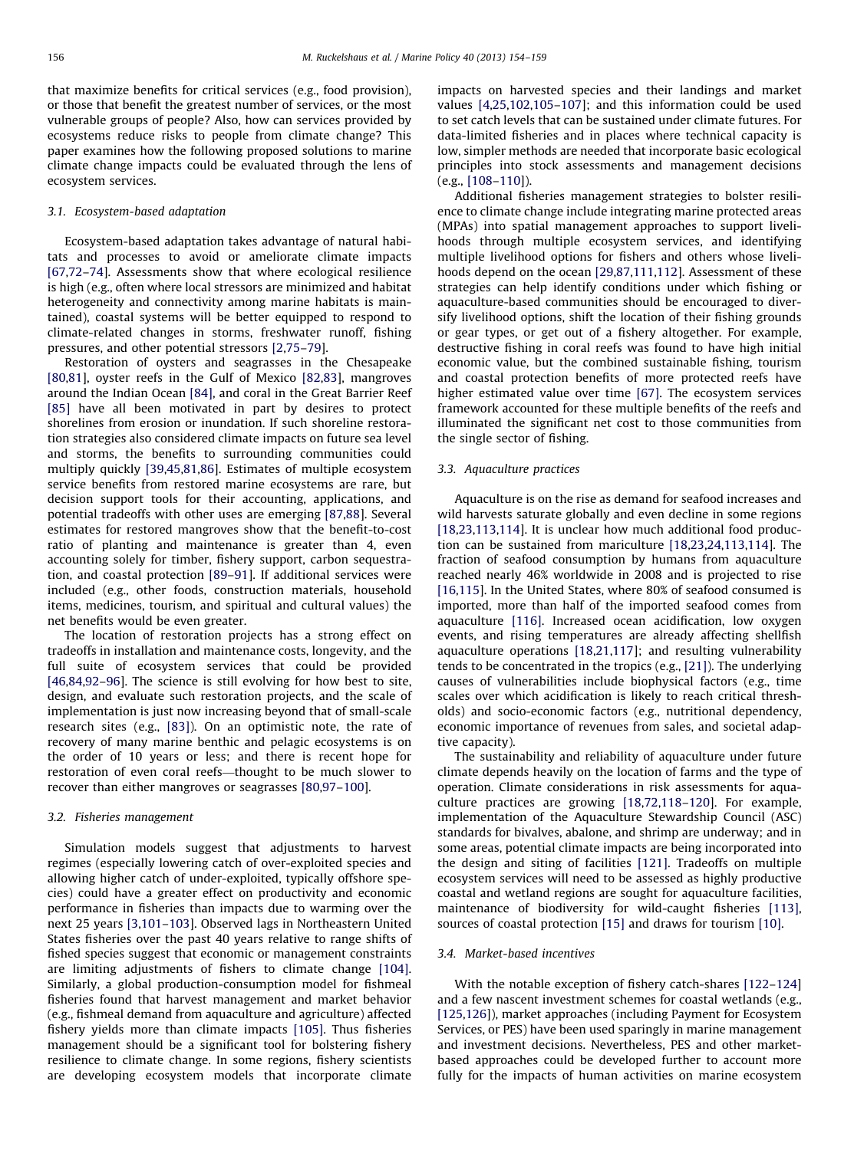that maximize benefits for critical services (e.g., food provision), or those that benefit the greatest number of services, or the most vulnerable groups of people? Also, how can services provided by ecosystems reduce risks to people from climate change? This paper examines how the following proposed solutions to marine climate change impacts could be evaluated through the lens of ecosystem services.

#### 3.1. Ecosystem-based adaptation

Ecosystem-based adaptation takes advantage of natural habitats and processes to avoid or ameliorate climate impacts [\[67,72–74](#page-4-0)]. Assessments show that where ecological resilience is high (e.g., often where local stressors are minimized and habitat heterogeneity and connectivity among marine habitats is maintained), coastal systems will be better equipped to respond to climate-related changes in storms, freshwater runoff, fishing pressures, and other potential stressors [\[2](#page-3-0)[,75](#page-4-0)–[79](#page-5-0)].

Restoration of oysters and seagrasses in the Chesapeake [\[80,81\]](#page-5-0), oyster reefs in the Gulf of Mexico [\[82,83\]](#page-5-0), mangroves around the Indian Ocean [\[84\],](#page-5-0) and coral in the Great Barrier Reef [\[85\]](#page-5-0) have all been motivated in part by desires to protect shorelines from erosion or inundation. If such shoreline restoration strategies also considered climate impacts on future sea level and storms, the benefits to surrounding communities could multiply quickly [\[39,45,](#page-4-0)[81,86\]](#page-5-0). Estimates of multiple ecosystem service benefits from restored marine ecosystems are rare, but decision support tools for their accounting, applications, and potential tradeoffs with other uses are emerging [\[87,88](#page-5-0)]. Several estimates for restored mangroves show that the benefit-to-cost ratio of planting and maintenance is greater than 4, even accounting solely for timber, fishery support, carbon sequestration, and coastal protection [\[89–91](#page-5-0)]. If additional services were included (e.g., other foods, construction materials, household items, medicines, tourism, and spiritual and cultural values) the net benefits would be even greater.

The location of restoration projects has a strong effect on tradeoffs in installation and maintenance costs, longevity, and the full suite of ecosystem services that could be provided [\[46](#page-4-0)[,84,92–96](#page-5-0)]. The science is still evolving for how best to site, design, and evaluate such restoration projects, and the scale of implementation is just now increasing beyond that of small-scale research sites (e.g., [\[83\]\)](#page-5-0). On an optimistic note, the rate of recovery of many marine benthic and pelagic ecosystems is on the order of 10 years or less; and there is recent hope for restoration of even coral reefs—thought to be much slower to recover than either mangroves or seagrasses [\[80,97–100](#page-5-0)].

#### 3.2. Fisheries management

Simulation models suggest that adjustments to harvest regimes (especially lowering catch of over-exploited species and allowing higher catch of under-exploited, typically offshore species) could have a greater effect on productivity and economic performance in fisheries than impacts due to warming over the next 25 years [\[3](#page-3-0)[,101–103\]](#page-5-0). Observed lags in Northeastern United States fisheries over the past 40 years relative to range shifts of fished species suggest that economic or management constraints are limiting adjustments of fishers to climate change [\[104\].](#page-5-0) Similarly, a global production-consumption model for fishmeal fisheries found that harvest management and market behavior (e.g., fishmeal demand from aquaculture and agriculture) affected fishery yields more than climate impacts [\[105\].](#page-5-0) Thus fisheries management should be a significant tool for bolstering fishery resilience to climate change. In some regions, fishery scientists are developing ecosystem models that incorporate climate impacts on harvested species and their landings and market values [\[4,](#page-3-0)[25](#page-4-0)[,102,105–107](#page-5-0)]; and this information could be used to set catch levels that can be sustained under climate futures. For data-limited fisheries and in places where technical capacity is low, simpler methods are needed that incorporate basic ecological principles into stock assessments and management decisions (e.g., [\[108–110\]](#page-5-0)).

Additional fisheries management strategies to bolster resilience to climate change include integrating marine protected areas (MPAs) into spatial management approaches to support livelihoods through multiple ecosystem services, and identifying multiple livelihood options for fishers and others whose livelihoods depend on the ocean [\[29](#page-4-0),[87,111,112](#page-5-0)]. Assessment of these strategies can help identify conditions under which fishing or aquaculture-based communities should be encouraged to diversify livelihood options, shift the location of their fishing grounds or gear types, or get out of a fishery altogether. For example, destructive fishing in coral reefs was found to have high initial economic value, but the combined sustainable fishing, tourism and coastal protection benefits of more protected reefs have higher estimated value over time [\[67\].](#page-4-0) The ecosystem services framework accounted for these multiple benefits of the reefs and illuminated the significant net cost to those communities from the single sector of fishing.

#### 3.3. Aquaculture practices

Aquaculture is on the rise as demand for seafood increases and wild harvests saturate globally and even decline in some regions [\[18,23,](#page-4-0)[113,114\]](#page-5-0). It is unclear how much additional food production can be sustained from mariculture [\[18,23,24](#page-4-0)[,113,114](#page-5-0)]. The fraction of seafood consumption by humans from aquaculture reached nearly 46% worldwide in 2008 and is projected to rise [\[16](#page-3-0)[,115\]](#page-5-0). In the United States, where 80% of seafood consumed is imported, more than half of the imported seafood comes from aquaculture [\[116\]](#page-5-0). Increased ocean acidification, low oxygen events, and rising temperatures are already affecting shellfish aquaculture operations [\[18](#page-4-0),[21](#page-4-0)[,117\]](#page-5-0); and resulting vulnerability tends to be concentrated in the tropics (e.g., [\[21\]\)](#page-4-0). The underlying causes of vulnerabilities include biophysical factors (e.g., time scales over which acidification is likely to reach critical thresholds) and socio-economic factors (e.g., nutritional dependency, economic importance of revenues from sales, and societal adaptive capacity).

The sustainability and reliability of aquaculture under future climate depends heavily on the location of farms and the type of operation. Climate considerations in risk assessments for aquaculture practices are growing [\[18,72,](#page-4-0)[118–120](#page-5-0)]. For example, implementation of the Aquaculture Stewardship Council (ASC) standards for bivalves, abalone, and shrimp are underway; and in some areas, potential climate impacts are being incorporated into the design and siting of facilities [\[121\]](#page-5-0). Tradeoffs on multiple ecosystem services will need to be assessed as highly productive coastal and wetland regions are sought for aquaculture facilities, maintenance of biodiversity for wild-caught fisheries [\[113\],](#page-5-0) sources of coastal protection [\[15\]](#page-3-0) and draws for tourism [\[10\].](#page-3-0)

#### 3.4. Market-based incentives

With the notable exception of fishery catch-shares [\[122–124\]](#page-5-0) and a few nascent investment schemes for coastal wetlands (e.g., [\[125,126\]](#page-5-0)), market approaches (including Payment for Ecosystem Services, or PES) have been used sparingly in marine management and investment decisions. Nevertheless, PES and other marketbased approaches could be developed further to account more fully for the impacts of human activities on marine ecosystem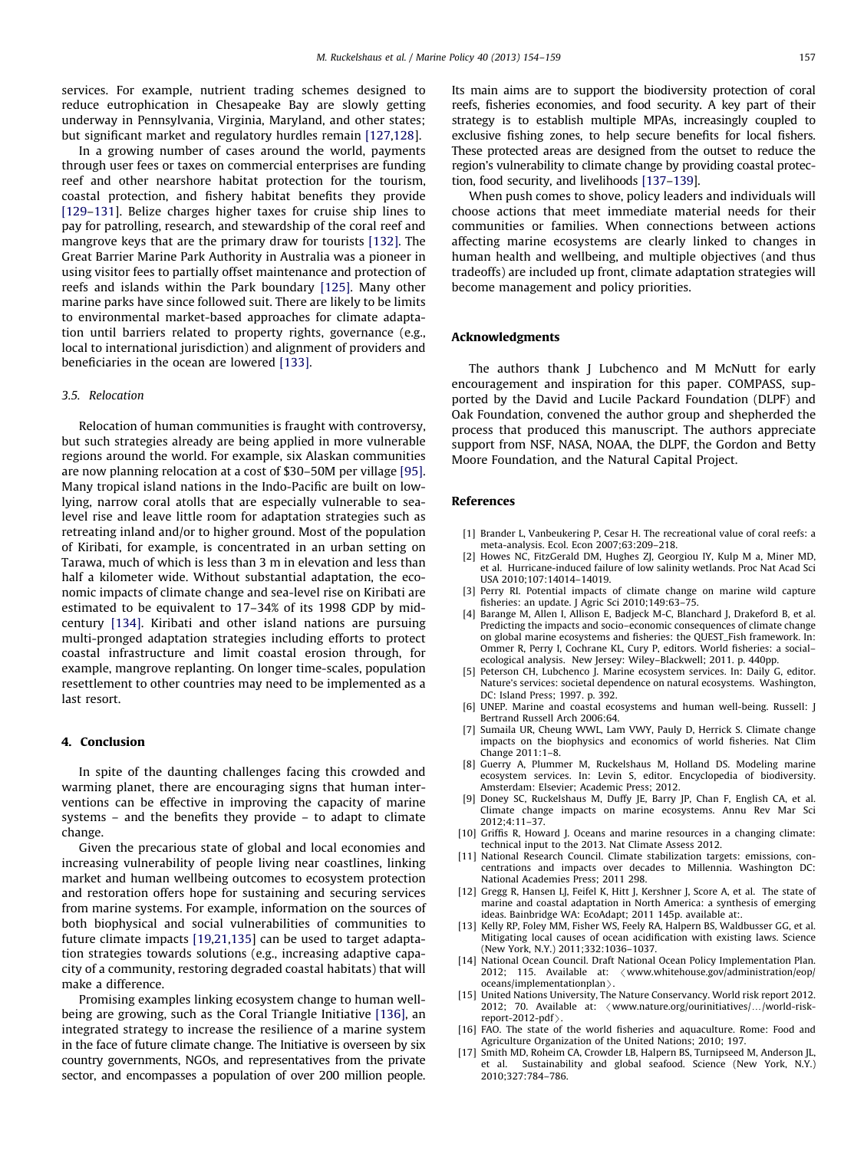<span id="page-3-0"></span>services. For example, nutrient trading schemes designed to reduce eutrophication in Chesapeake Bay are slowly getting underway in Pennsylvania, Virginia, Maryland, and other states; but significant market and regulatory hurdles remain [\[127,128\]](#page-5-0).

In a growing number of cases around the world, payments through user fees or taxes on commercial enterprises are funding reef and other nearshore habitat protection for the tourism, coastal protection, and fishery habitat benefits they provide [\[129](#page-5-0)–[131](#page-5-0)]. Belize charges higher taxes for cruise ship lines to pay for patrolling, research, and stewardship of the coral reef and mangrove keys that are the primary draw for tourists [\[132\].](#page-5-0) The Great Barrier Marine Park Authority in Australia was a pioneer in using visitor fees to partially offset maintenance and protection of reefs and islands within the Park boundary [\[125\].](#page-5-0) Many other marine parks have since followed suit. There are likely to be limits to environmental market-based approaches for climate adaptation until barriers related to property rights, governance (e.g., local to international jurisdiction) and alignment of providers and beneficiaries in the ocean are lowered [\[133\]](#page-5-0).

#### 3.5. Relocation

Relocation of human communities is fraught with controversy, but such strategies already are being applied in more vulnerable regions around the world. For example, six Alaskan communities are now planning relocation at a cost of \$30–50M per village [\[95\].](#page-5-0) Many tropical island nations in the Indo-Pacific are built on lowlying, narrow coral atolls that are especially vulnerable to sealevel rise and leave little room for adaptation strategies such as retreating inland and/or to higher ground. Most of the population of Kiribati, for example, is concentrated in an urban setting on Tarawa, much of which is less than 3 m in elevation and less than half a kilometer wide. Without substantial adaptation, the economic impacts of climate change and sea-level rise on Kiribati are estimated to be equivalent to 17–34% of its 1998 GDP by midcentury [\[134\]](#page-5-0). Kiribati and other island nations are pursuing multi-pronged adaptation strategies including efforts to protect coastal infrastructure and limit coastal erosion through, for example, mangrove replanting. On longer time-scales, population resettlement to other countries may need to be implemented as a last resort.

#### 4. Conclusion

In spite of the daunting challenges facing this crowded and warming planet, there are encouraging signs that human interventions can be effective in improving the capacity of marine systems – and the benefits they provide – to adapt to climate change.

Given the precarious state of global and local economies and increasing vulnerability of people living near coastlines, linking market and human wellbeing outcomes to ecosystem protection and restoration offers hope for sustaining and securing services from marine systems. For example, information on the sources of both biophysical and social vulnerabilities of communities to future climate impacts [\[19,21](#page-4-0)[,135\]](#page-5-0) can be used to target adaptation strategies towards solutions (e.g., increasing adaptive capacity of a community, restoring degraded coastal habitats) that will make a difference.

Promising examples linking ecosystem change to human wellbeing are growing, such as the Coral Triangle Initiative [\[136\]](#page-5-0), an integrated strategy to increase the resilience of a marine system in the face of future climate change. The Initiative is overseen by six country governments, NGOs, and representatives from the private sector, and encompasses a population of over 200 million people. Its main aims are to support the biodiversity protection of coral reefs, fisheries economies, and food security. A key part of their strategy is to establish multiple MPAs, increasingly coupled to exclusive fishing zones, to help secure benefits for local fishers. These protected areas are designed from the outset to reduce the region's vulnerability to climate change by providing coastal protection, food security, and livelihoods [\[137–139](#page-5-0)].

When push comes to shove, policy leaders and individuals will choose actions that meet immediate material needs for their communities or families. When connections between actions affecting marine ecosystems are clearly linked to changes in human health and wellbeing, and multiple objectives (and thus tradeoffs) are included up front, climate adaptation strategies will become management and policy priorities.

#### Acknowledgments

The authors thank J Lubchenco and M McNutt for early encouragement and inspiration for this paper. COMPASS, supported by the David and Lucile Packard Foundation (DLPF) and Oak Foundation, convened the author group and shepherded the process that produced this manuscript. The authors appreciate support from NSF, NASA, NOAA, the DLPF, the Gordon and Betty Moore Foundation, and the Natural Capital Project.

#### References

- [1] Brander L, Vanbeukering P, Cesar H. The recreational value of coral reefs: a meta-analysis. Ecol. Econ 2007;63:209–218.
- [2] Howes NC, FitzGerald DM, Hughes ZJ, Georgiou IY, Kulp M a, Miner MD, et al. Hurricane-induced failure of low salinity wetlands. Proc Nat Acad Sci USA 2010;107:14014–14019.
- [3] Perry RI. Potential impacts of climate change on marine wild capture fisheries: an update. J Agric Sci 2010;149:63–75.
- [4] Barange M, Allen I, Allison E, Badjeck M-C, Blanchard J. Drakeford B, et al. Predicting the impacts and socio–economic consequences of climate change on global marine ecosystems and fisheries: the QUEST\_Fish framework. In: Ommer R, Perry I, Cochrane KL, Cury P, editors. World fisheries: a social– ecological analysis. New Jersey: Wiley–Blackwell; 2011. p. 440pp.
- [5] Peterson CH, Lubchenco J. Marine ecosystem services. In: Daily G, editor. Nature's services: societal dependence on natural ecosystems. Washington, DC: Island Press; 1997. p. 392.
- [6] UNEP. Marine and coastal ecosystems and human well-being. Russell: J Bertrand Russell Arch 2006:64.
- [7] Sumaila UR, Cheung WWL, Lam VWY, Pauly D, Herrick S. Climate change impacts on the biophysics and economics of world fisheries. Nat Clim Change 2011:1–8.
- [8] Guerry A, Plummer M, Ruckelshaus M, Holland DS. Modeling marine ecosystem services. In: Levin S, editor. Encyclopedia of biodiversity. Amsterdam: Elsevier; Academic Press; 2012.
- [9] Doney SC, Ruckelshaus M, Duffy JE, Barry JP, Chan F, English CA, et al. Climate change impacts on marine ecosystems. Annu Rev Mar Sci 2012;4:11–37.
- [10] Griffis R, Howard J. Oceans and marine resources in a changing climate: technical input to the 2013. Nat Climate Assess 2012.
- [11] National Research Council. Climate stabilization targets: emissions, concentrations and impacts over decades to Millennia. Washington DC: National Academies Press; 2011 298.
- [12] Gregg R, Hansen LJ, Feifel K, Hitt J, Kershner J, Score A, et al. The state of marine and coastal adaptation in North America: a synthesis of emerging ideas. Bainbridge WA: EcoAdapt; 2011 145p. available at:.
- [13] Kelly RP, Foley MM, Fisher WS, Feely RA, Halpern BS, Waldbusser GG, et al. Mitigating local causes of ocean acidification with existing laws. Science (New York, N.Y.) 2011;332:1036–1037.
- [14] National Ocean Council. Draft National Ocean Policy Implementation Plan. 2012; 115. Available at: < [www.whitehouse.gov/administration/eop/](www.whitehouse.gov/administration/eop/oceans/implementationplan)  $oceans/implementationplan$
- [15] United Nations University, The Nature Conservancy. World risk report 2012. 2012; 70. Available at:  $\langle$  www.nature.org/ourinitiatives/.../world-riskreport-2012-pdf $\rangle$
- [16] FAO. The state of the world fisheries and aquaculture. Rome: Food and Agriculture Organization of the United Nations; 2010; 197.
- [17] Smith MD, Roheim CA, Crowder LB, Halpern BS, Turnipseed M, Anderson JL et al. Sustainability and global seafood. Science (New York, N.Y.) 2010;327:784–786.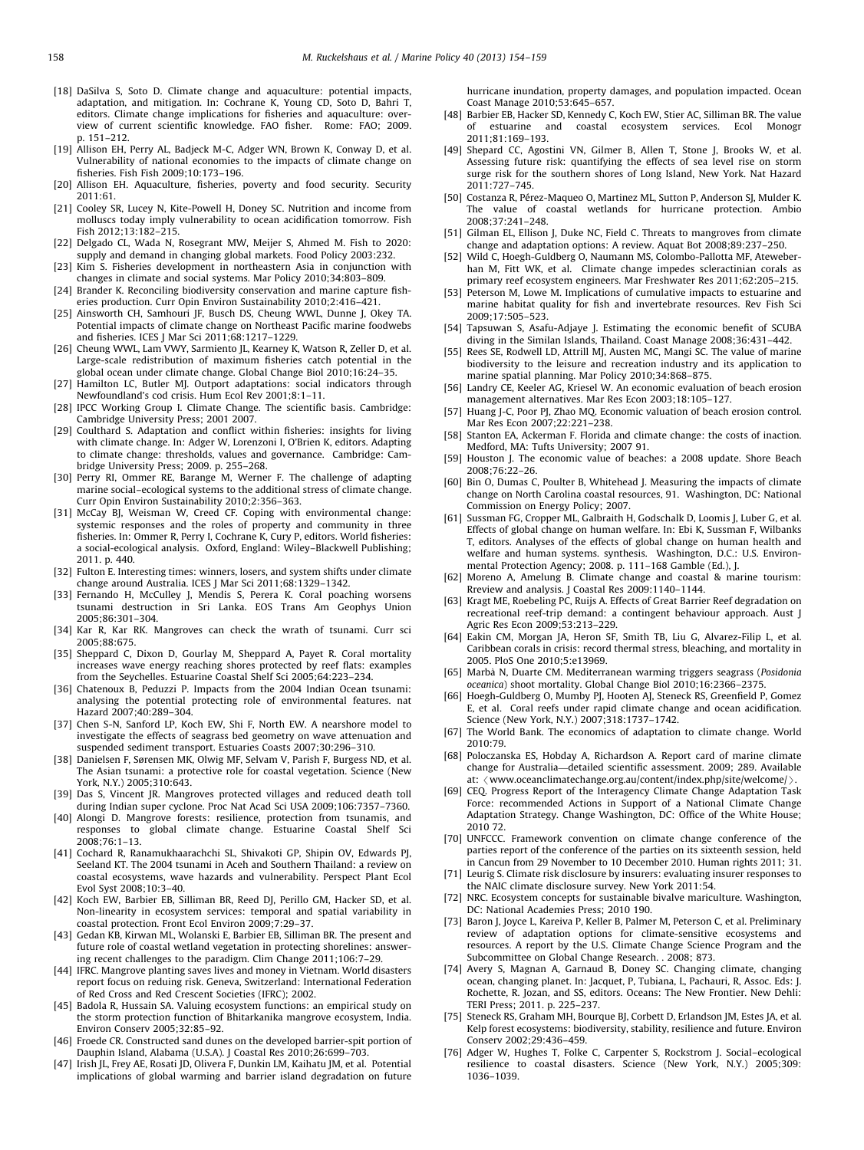- <span id="page-4-0"></span>[18] DaSilva S, Soto D. Climate change and aquaculture: potential impacts, adaptation, and mitigation. In: Cochrane K, Young CD, Soto D, Bahri T, editors. Climate change implications for fisheries and aquaculture: overview of current scientific knowledge. FAO fisher. Rome: FAO; 2009. p. 151–212.
- [19] Allison EH, Perry AL, Badjeck M-C, Adger WN, Brown K, Conway D, et al. Vulnerability of national economies to the impacts of climate change on fisheries. Fish Fish 2009;10:173–196.
- [20] Allison EH. Aquaculture, fisheries, poverty and food security. Security 2011:61.
- [21] Cooley SR, Lucey N, Kite-Powell H, Doney SC. Nutrition and income from molluscs today imply vulnerability to ocean acidification tomorrow. Fish Fish 2012;13:182–215.
- [22] Delgado CL, Wada N, Rosegrant MW, Meijer S, Ahmed M. Fish to 2020: supply and demand in changing global markets. Food Policy 2003:232.
- [23] Kim S. Fisheries development in northeastern Asia in conjunction with changes in climate and social systems. Mar Policy 2010;34:803–809.
- [24] Brander K. Reconciling biodiversity conservation and marine capture fisheries production. Curr Opin Environ Sustainability 2010;2:416–421.
- [25] Ainsworth CH, Samhouri JF, Busch DS, Cheung WWL, Dunne J, Okey TA. Potential impacts of climate change on Northeast Pacific marine foodwebs and fisheries. ICES J Mar Sci 2011;68:1217–1229.
- [26] Cheung WWL, Lam VWY, Sarmiento JL, Kearney K, Watson R, Zeller D, et al. Large-scale redistribution of maximum fisheries catch potential in the global ocean under climate change. Global Change Biol 2010;16:24–35.
- [27] Hamilton LC, Butler MJ. Outport adaptations: social indicators through Newfoundland's cod crisis. Hum Ecol Rev 2001;8:1–11.
- [28] IPCC Working Group I. Climate Change. The scientific basis. Cambridge: Cambridge University Press; 2001 2007.
- [29] Coulthard S. Adaptation and conflict within fisheries: insights for living with climate change. In: Adger W, Lorenzoni I, O'Brien K, editors. Adapting to climate change: thresholds, values and governance. Cambridge: Cambridge University Press; 2009. p. 255–268.
- [30] Perry RI, Ommer RE, Barange M, Werner F. The challenge of adapting marine social–ecological systems to the additional stress of climate change. Curr Opin Environ Sustainability 2010;2:356–363.
- [31] McCay BJ, Weisman W, Creed CF. Coping with environmental change: systemic responses and the roles of property and community in three fisheries. In: Ommer R, Perry I, Cochrane K, Cury P, editors. World fisheries: a social-ecological analysis. Oxford, England: Wiley–Blackwell Publishing; 2011. p. 440.
- [32] Fulton E. Interesting times: winners, losers, and system shifts under climate change around Australia. ICES J Mar Sci 2011;68:1329–1342.
- [33] Fernando H, McCulley J, Mendis S, Perera K. Coral poaching worsens tsunami destruction in Sri Lanka. EOS Trans Am Geophys Union 2005;86:301–304.
- [34] Kar R, Kar RK. Mangroves can check the wrath of tsunami. Curr sci 2005;88:675.
- [35] Sheppard C, Dixon D, Gourlay M, Sheppard A, Payet R. Coral mortality increases wave energy reaching shores protected by reef flats: examples from the Seychelles. Estuarine Coastal Shelf Sci 2005;64:223–234.
- [36] Chatenoux B, Peduzzi P. Impacts from the 2004 Indian Ocean tsunami: analysing the potential protecting role of environmental features. nat Hazard 2007;40:289–304.
- [37] Chen S-N, Sanford LP, Koch EW, Shi F, North EW. A nearshore model to investigate the effects of seagrass bed geometry on wave attenuation and suspended sediment transport. Estuaries Coasts 2007;30:296–310.
- [38] Danielsen F, Sørensen MK, Olwig MF, Selvam V, Parish F, Burgess ND, et al. The Asian tsunami: a protective role for coastal vegetation. Science (New York, N.Y.) 2005;310:643.
- [39] Das S, Vincent JR. Mangroves protected villages and reduced death toll during Indian super cyclone. Proc Nat Acad Sci USA 2009;106:7357–7360.
- [40] Alongi D. Mangrove forests: resilience, protection from tsunamis, and responses to global climate change. Estuarine Coastal Shelf Sci 2008;76:1–13.
- [41] Cochard R, Ranamukhaarachchi SL, Shivakoti GP, Shipin OV, Edwards PJ, Seeland KT. The 2004 tsunami in Aceh and Southern Thailand: a review on coastal ecosystems, wave hazards and vulnerability. Perspect Plant Ecol Evol Syst 2008;10:3–40.
- [42] Koch EW, Barbier EB, Silliman BR, Reed DJ, Perillo GM, Hacker SD, et al. Non-linearity in ecosystem services: temporal and spatial variability in coastal protection. Front Ecol Environ 2009;7:29–37.
- [43] Gedan KB, Kirwan ML, Wolanski E, Barbier EB, Silliman BR. The present and future role of coastal wetland vegetation in protecting shorelines: answering recent challenges to the paradigm. Clim Change 2011;106:7–29.
- [44] IFRC. Mangrove planting saves lives and money in Vietnam. World disasters report focus on reduing risk. Geneva, Switzerland: International Federation of Red Cross and Red Crescent Societies (IFRC); 2002.
- [45] Badola R, Hussain SA. Valuing ecosystem functions: an empirical study on the storm protection function of Bhitarkanika mangrove ecosystem, India. Environ Conserv 2005;32:85–92.
- [46] Froede CR. Constructed sand dunes on the developed barrier-spit portion of Dauphin Island, Alabama (U.S.A). J Coastal Res 2010;26:699–703.
- [47] Irish JL, Frey AE, Rosati JD, Olivera F, Dunkin LM, Kaihatu JM, et al. Potential implications of global warming and barrier island degradation on future

hurricane inundation, property damages, and population impacted. Ocean Coast Manage 2010;53:645–657.

- [48] Barbier EB, Hacker SD, Kennedy C, Koch EW, Stier AC, Silliman BR. The value of estuarine and coastal ecosystem services. Ecol Monogr 2011;81:169–193.
- [49] Shepard CC, Agostini VN, Gilmer B, Allen T, Stone J, Brooks W, et al. Assessing future risk: quantifying the effects of sea level rise on storm surge risk for the southern shores of Long Island, New York. Nat Hazard 2011:727–745.
- [50] Costanza R, Pérez-Maqueo O, Martinez ML, Sutton P, Anderson SJ, Mulder K. The value of coastal wetlands for hurricane protection. Ambio 2008;37:241–248.
- [51] Gilman EL, Ellison J, Duke NC, Field C. Threats to mangroves from climate change and adaptation options: A review. Aquat Bot 2008;89:237–250.
- [52] Wild C, Hoegh-Guldberg O, Naumann MS, Colombo-Pallotta MF, Ateweberhan M, Fitt WK, et al. Climate change impedes scleractinian corals as primary reef ecosystem engineers. Mar Freshwater Res 2011;62:205–215.
- [53] Peterson M, Lowe M. Implications of cumulative impacts to estuarine and marine habitat quality for fish and invertebrate resources. Rev Fish Sci 2009;17:505–523.
- [54] Tapsuwan S, Asafu-Adjaye J. Estimating the economic benefit of SCUBA diving in the Similan Islands, Thailand. Coast Manage 2008;36:431–442.
- Rees SE, Rodwell LD, Attrill MJ, Austen MC, Mangi SC. The value of marine biodiversity to the leisure and recreation industry and its application to marine spatial planning. Mar Policy 2010;34:868–875.
- [56] Landry CE, Keeler AG, Kriesel W. An economic evaluation of beach erosion management alternatives. Mar Res Econ 2003;18:105–127.
- [57] Huang J-C, Poor PJ, Zhao MQ. Economic valuation of beach erosion control. Mar Res Econ 2007;22:221–238.
- [58] Stanton EA, Ackerman F. Florida and climate change: the costs of inaction. Medford, MA: Tufts University; 2007 91.
- [59] Houston J. The economic value of beaches: a 2008 update. Shore Beach 2008;76:22–26.
- [60] Bin O, Dumas C, Poulter B, Whitehead J. Measuring the impacts of climate change on North Carolina coastal resources, 91. Washington, DC: National Commission on Energy Policy; 2007.
- [61] Sussman FG, Cropper ML, Galbraith H, Godschalk D, Loomis J, Luber G, et al. Effects of global change on human welfare. In: Ebi K, Sussman F, Wilbanks T, editors. Analyses of the effects of global change on human health and welfare and human systems. synthesis. Washington, D.C.: U.S. Environmental Protection Agency; 2008. p. 111–168 Gamble (Ed.), J.
- [62] Moreno A, Amelung B. Climate change and coastal & marine tourism: Rreview and analysis. J Coastal Res 2009:1140–1144.
- [63] Kragt ME, Roebeling PC, Ruijs A. Effects of Great Barrier Reef degradation on recreational reef-trip demand: a contingent behaviour approach. Aust J Agric Res Econ 2009;53:213–229.
- [64] Eakin CM, Morgan JA, Heron SF, Smith TB, Liu G, Alvarez-Filip L, et al. Caribbean corals in crisis: record thermal stress, bleaching, and mortality in 2005. PloS One 2010;5:e13969.
- [65] Marbà N, Duarte CM. Mediterranean warming triggers seagrass (Posidonia oceanica) shoot mortality. Global Change Biol 2010;16:2366–2375.
- [66] Hoegh-Guldberg O, Mumby PJ, Hooten AJ, Steneck RS, Greenfield P, Gomez E, et al. Coral reefs under rapid climate change and ocean acidification. Science (New York, N.Y.) 2007;318:1737–1742.
- [67] The World Bank. The economics of adaptation to climate change. World 2010:79.
- [68] Poloczanska ES, Hobday A, Richardson A. Report card of marine climate change for Australia—detailed scientific assessment. 2009; 289. Available at:  $\langle$  <www.oceanclimatechange.org.au/content/index.php/site/welcome/> $\rangle$
- [69] CEQ. Progress Report of the Interagency Climate Change Adaptation Task Force: recommended Actions in Support of a National Climate Change Adaptation Strategy. Change Washington, DC: Office of the White House; 2010 72.
- [70] UNFCCC. Framework convention on climate change conference of the parties report of the conference of the parties on its sixteenth session, held in Cancun from 29 November to 10 December 2010. Human rights 2011; 31.
- [71] Leurig S. Climate risk disclosure by insurers: evaluating insurer responses to the NAIC climate disclosure survey. New York 2011:54.
- [72] NRC. Ecosystem concepts for sustainable bivalve mariculture. Washington, DC: National Academies Press; 2010 190.
- [73] Baron J, Joyce L, Kareiva P, Keller B, Palmer M, Peterson C, et al. Preliminary review of adaptation options for climate-sensitive ecosystems and resources. A report by the U.S. Climate Change Science Program and the Subcommittee on Global Change Research. . 2008; 873.
- [74] Avery S, Magnan A, Garnaud B, Doney SC. Changing climate, changing ocean, changing planet. In: Jacquet, P, Tubiana, L, Pachauri, R, Assoc. Eds: J. Rochette, R. Jozan, and SS, editors. Oceans: The New Frontier. New Dehli: TERI Press; 2011. p. 225–237.
- [75] Steneck RS, Graham MH, Bourque BJ, Corbett D, Erlandson JM, Estes JA, et al. Kelp forest ecosystems: biodiversity, stability, resilience and future. Environ Conserv 2002;29:436–459.
- [76] Adger W, Hughes T, Folke C, Carpenter S, Rockstrom J. Social–ecological resilience to coastal disasters. Science (New York, N.Y.) 2005;309: 1036–1039.